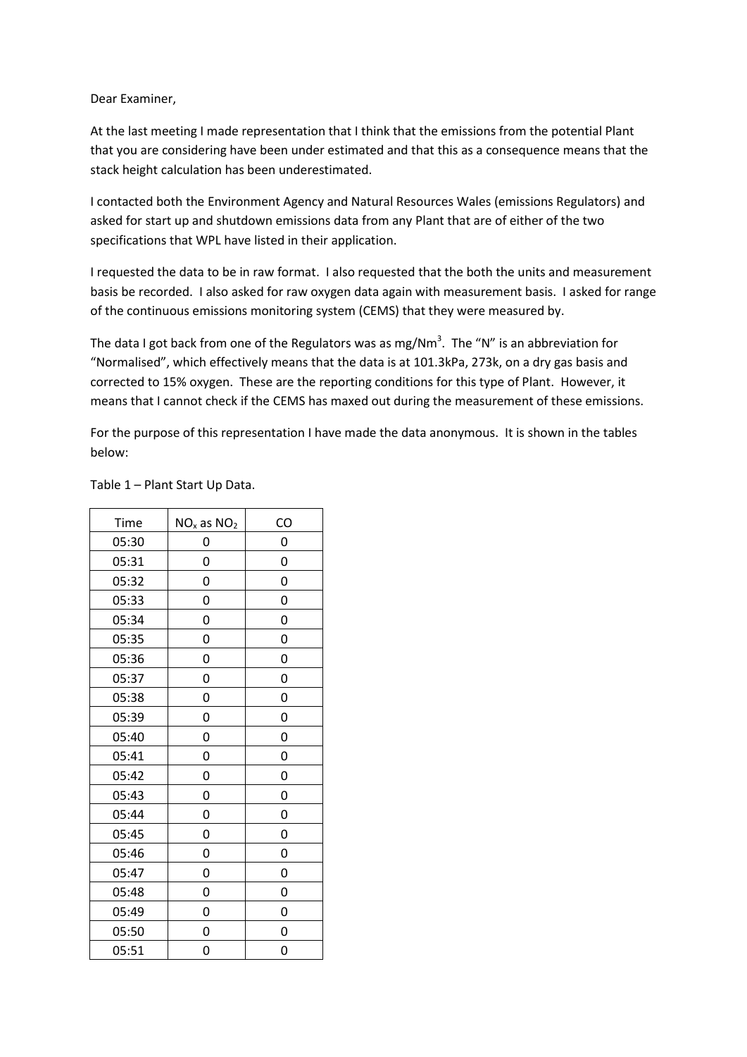Dear Examiner,

At the last meeting I made representation that I think that the emissions from the potential Plant that you are considering have been under estimated and that this as a consequence means that the stack height calculation has been underestimated.

I contacted both the Environment Agency and Natural Resources Wales (emissions Regulators) and asked for start up and shutdown emissions data from any Plant that are of either of the two specifications that WPL have listed in their application.

I requested the data to be in raw format. I also requested that the both the units and measurement basis be recorded. I also asked for raw oxygen data again with measurement basis. I asked for range of the continuous emissions monitoring system (CEMS) that they were measured by.

The data I got back from one of the Regulators was as mg/Nm<sup>3</sup>. The "N" is an abbreviation for "Normalised", which effectively means that the data is at 101.3kPa, 273k, on a dry gas basis and corrected to 15% oxygen. These are the reporting conditions for this type of Plant. However, it means that I cannot check if the CEMS has maxed out during the measurement of these emissions.

For the purpose of this representation I have made the data anonymous. It is shown in the tables below:

| Time  | $NOx$ as $NO2$ | CO |
|-------|----------------|----|
| 05:30 | 0              | 0  |
| 05:31 | 0              | 0  |
| 05:32 | 0              | 0  |
| 05:33 | 0              | 0  |
| 05:34 | 0              | 0  |
| 05:35 | 0              | 0  |
| 05:36 | 0              | 0  |
| 05:37 | 0              | 0  |
| 05:38 | 0              | 0  |
| 05:39 | 0              | 0  |
| 05:40 | 0              | 0  |
| 05:41 | 0              | 0  |
| 05:42 | 0              | 0  |
| 05:43 | 0              | 0  |
| 05:44 | 0              | 0  |
| 05:45 | 0              | 0  |
| 05:46 | 0              | 0  |
| 05:47 | 0              | 0  |
| 05:48 | 0              | 0  |
| 05:49 | 0              | 0  |
| 05:50 | 0              | 0  |
| 05:51 | 0              | 0  |

Table 1 – Plant Start Up Data.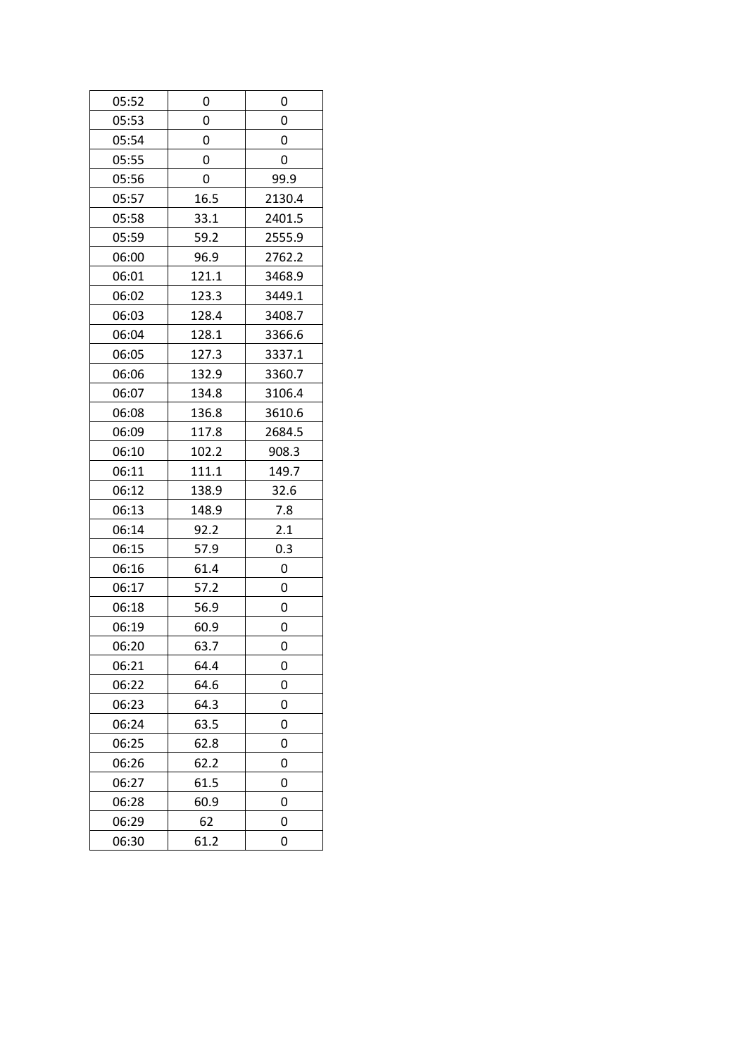| 05:52 | 0     | 0      |
|-------|-------|--------|
| 05:53 | 0     | 0      |
| 05:54 | 0     | 0      |
| 05:55 | 0     | 0      |
| 05:56 | 0     | 99.9   |
| 05:57 | 16.5  | 2130.4 |
| 05:58 | 33.1  | 2401.5 |
| 05:59 | 59.2  | 2555.9 |
| 06:00 | 96.9  | 2762.2 |
| 06:01 | 121.1 | 3468.9 |
| 06:02 | 123.3 | 3449.1 |
| 06:03 | 128.4 | 3408.7 |
| 06:04 | 128.1 | 3366.6 |
| 06:05 | 127.3 | 3337.1 |
| 06:06 | 132.9 | 3360.7 |
| 06:07 | 134.8 | 3106.4 |
| 06:08 | 136.8 | 3610.6 |
| 06:09 | 117.8 | 2684.5 |
| 06:10 | 102.2 | 908.3  |
| 06:11 | 111.1 | 149.7  |
| 06:12 | 138.9 | 32.6   |
| 06:13 | 148.9 | 7.8    |
| 06:14 | 92.2  | 2.1    |
| 06:15 | 57.9  | 0.3    |
| 06:16 | 61.4  | 0      |
| 06:17 | 57.2  | 0      |
| 06:18 | 56.9  | 0      |
| 06:19 | 60.9  | 0      |
| 06:20 | 63.7  | 0      |
| 06:21 | 64.4  | 0      |
| 06:22 | 64.6  | 0      |
| 06:23 | 64.3  | 0      |
| 06:24 | 63.5  | 0      |
| 06:25 | 62.8  | 0      |
| 06:26 | 62.2  | 0      |
| 06:27 | 61.5  | 0      |
| 06:28 | 60.9  | 0      |
| 06:29 | 62    | 0      |
| 06:30 | 61.2  | 0      |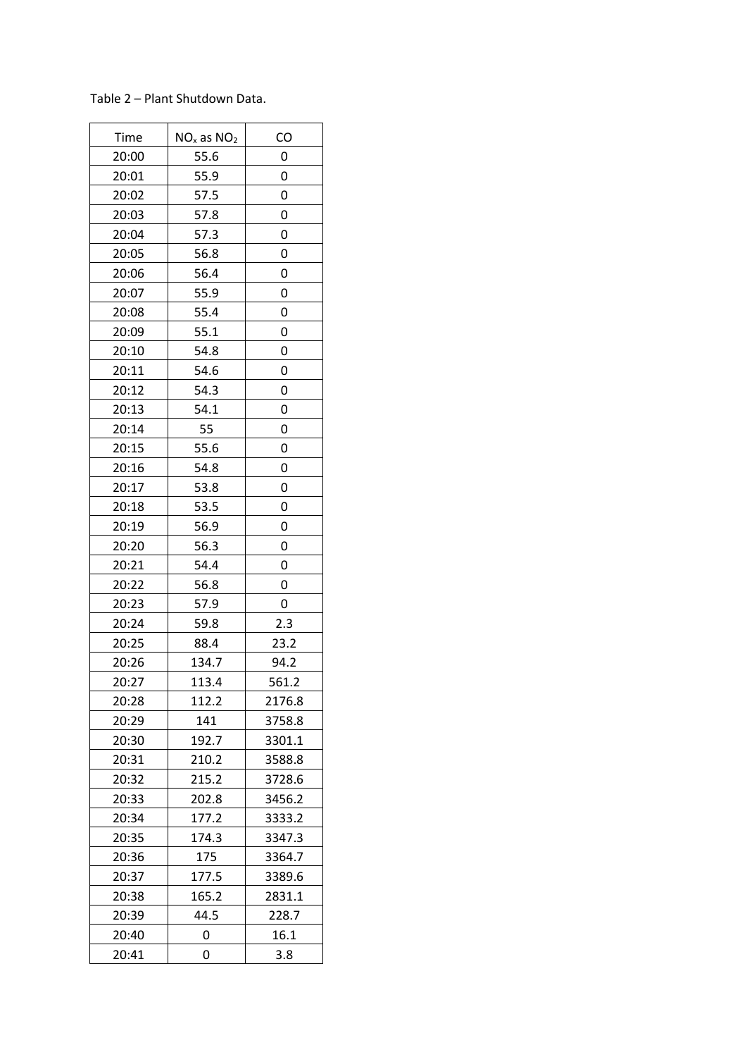| Time  | $NOx$ as $NO2$ | CO     |
|-------|----------------|--------|
| 20:00 | 55.6           | 0      |
| 20:01 | 55.9           | 0      |
| 20:02 | 57.5           | 0      |
| 20:03 | 57.8           | 0      |
| 20:04 | 57.3           | 0      |
| 20:05 | 56.8           | 0      |
| 20:06 | 56.4           | 0      |
| 20:07 | 55.9           | 0      |
| 20:08 | 55.4           | 0      |
| 20:09 | 55.1           | 0      |
| 20:10 | 54.8           | 0      |
| 20:11 | 54.6           | 0      |
| 20:12 | 54.3           | 0      |
| 20:13 | 54.1           | 0      |
| 20:14 | 55             | 0      |
| 20:15 | 55.6           | 0      |
| 20:16 | 54.8           | 0      |
| 20:17 | 53.8           | 0      |
| 20:18 | 53.5           | 0      |
| 20:19 | 56.9           | 0      |
| 20:20 | 56.3           | 0      |
| 20:21 | 54.4           | 0      |
| 20:22 | 56.8           | 0      |
| 20:23 | 57.9           | 0      |
| 20:24 | 59.8           | 2.3    |
| 20:25 | 88.4           | 23.2   |
| 20:26 | 134.7          | 94.2   |
| 20:27 | 113.4          | 561.2  |
| 20:28 | 112.2          | 2176.8 |
| 20:29 | 141            | 3758.8 |
| 20:30 | 192.7          | 3301.1 |
| 20:31 | 210.2          | 3588.8 |
| 20:32 | 215.2          | 3728.6 |
| 20:33 | 202.8          | 3456.2 |
| 20:34 | 177.2          | 3333.2 |
| 20:35 | 174.3          | 3347.3 |
| 20:36 | 175            | 3364.7 |
| 20:37 | 177.5          | 3389.6 |
| 20:38 | 165.2          | 2831.1 |
| 20:39 | 44.5           | 228.7  |
| 20:40 | 0              | 16.1   |
| 20:41 | 0              | 3.8    |

Table 2 – Plant Shutdown Data.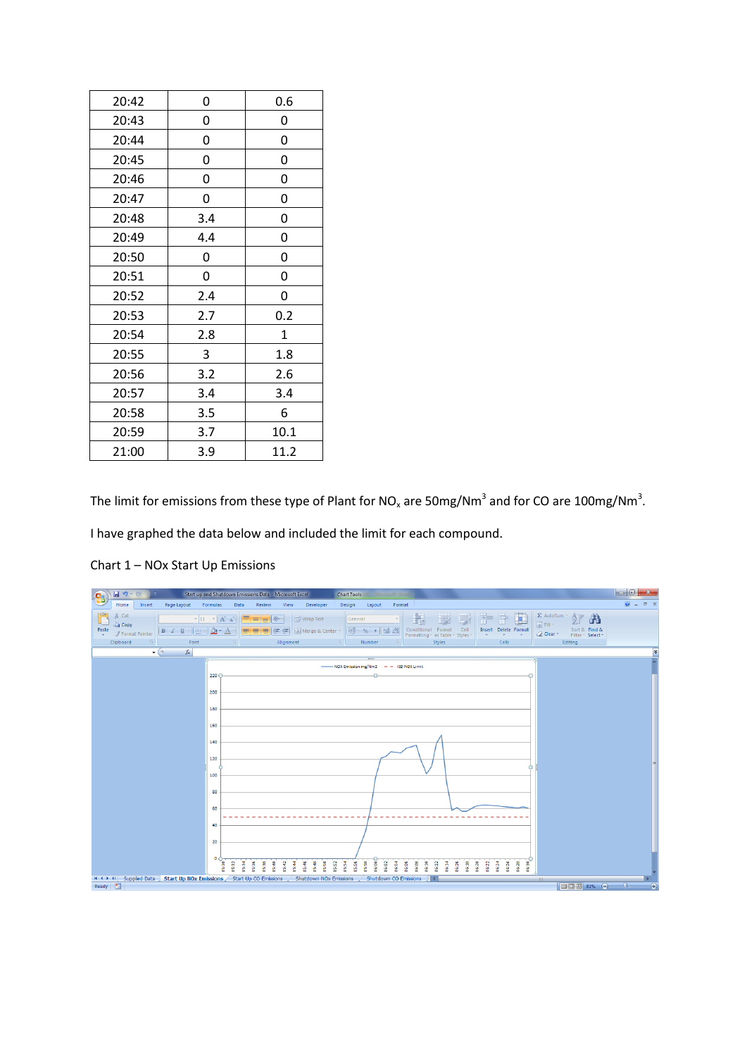| 0   | 0.6          |
|-----|--------------|
| 0   | 0            |
| 0   | 0            |
| 0   | 0            |
| 0   | 0            |
| 0   | 0            |
| 3.4 | 0            |
| 4.4 | 0            |
| 0   | 0            |
| 0   | 0            |
| 2.4 | 0            |
| 2.7 | 0.2          |
| 2.8 | $\mathbf{1}$ |
| 3   | 1.8          |
| 3.2 | 2.6          |
| 3.4 | 3.4          |
| 3.5 | 6            |
| 3.7 | 10.1         |
| 3.9 | 11.2         |
|     |              |

The limit for emissions from these type of Plant for NO<sub>x</sub> are 50mg/Nm<sup>3</sup> and for CO are 100mg/Nm<sup>3</sup>.

I have graphed the data below and included the limit for each compound.



Chart 1 – NOx Start Up Emissions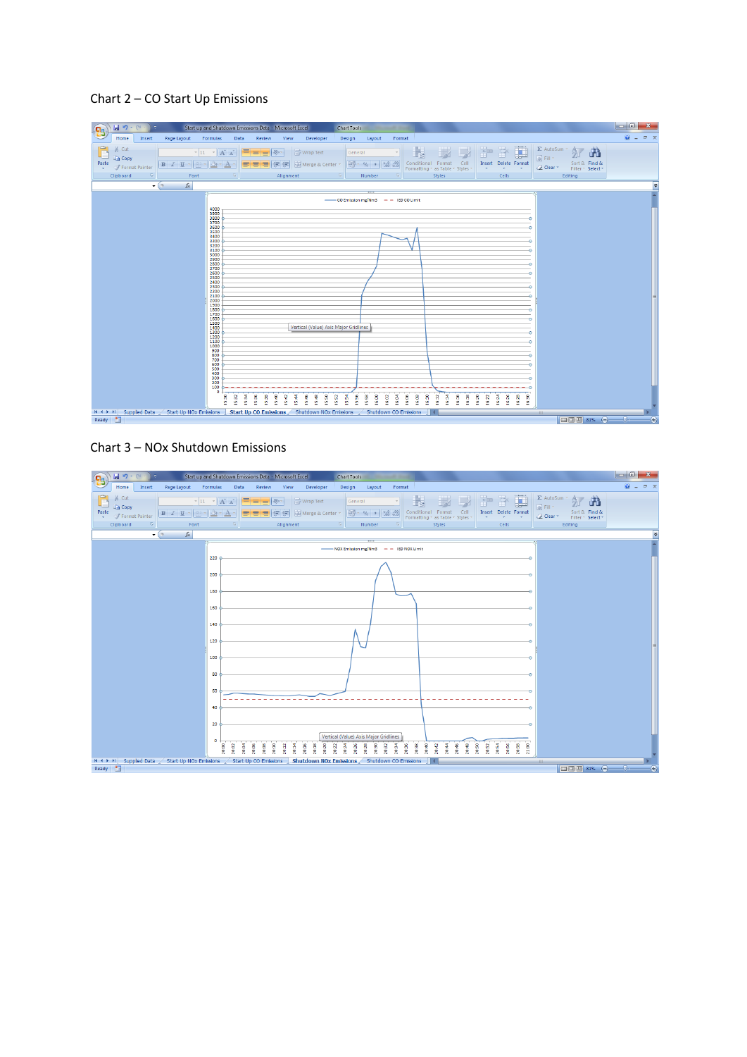## Chart 2 – CO Start Up Emissions



## Chart 3 – NOx Shutdown Emissions

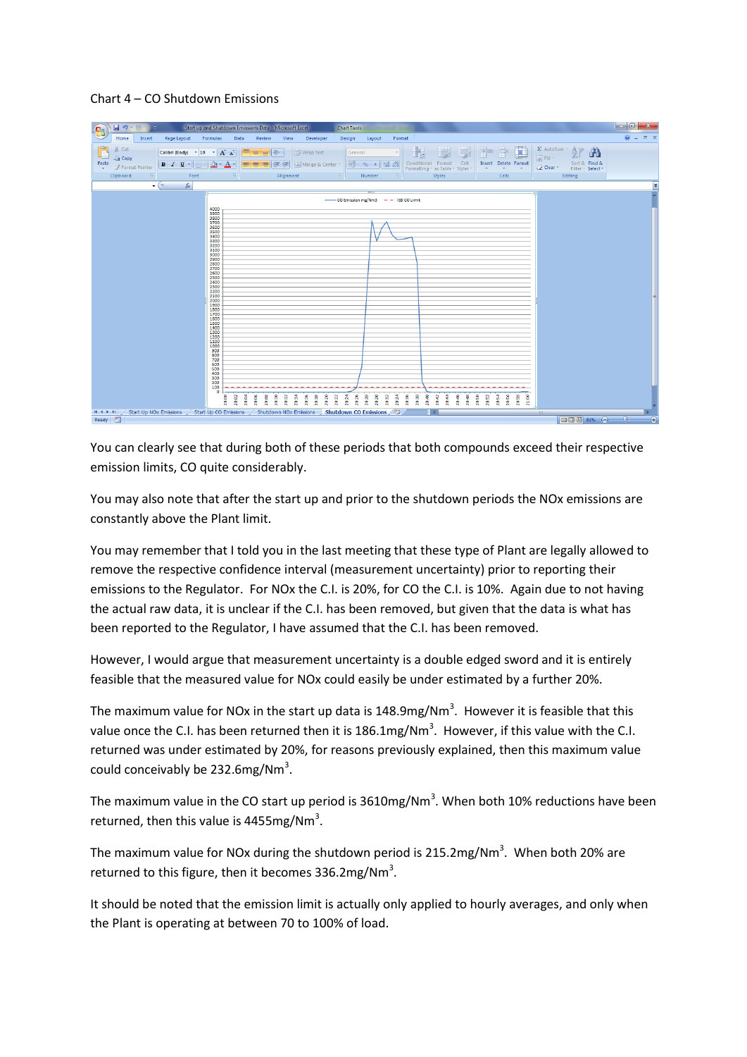## Chart 4 – CO Shutdown Emissions



You can clearly see that during both of these periods that both compounds exceed their respective emission limits, CO quite considerably.

You may also note that after the start up and prior to the shutdown periods the NOx emissions are constantly above the Plant limit.

You may remember that I told you in the last meeting that these type of Plant are legally allowed to remove the respective confidence interval (measurement uncertainty) prior to reporting their emissions to the Regulator. For NOx the C.I. is 20%, for CO the C.I. is 10%. Again due to not having the actual raw data, it is unclear if the C.I. has been removed, but given that the data is what has been reported to the Regulator, I have assumed that the C.I. has been removed.

However, I would argue that measurement uncertainty is a double edged sword and it is entirely feasible that the measured value for NOx could easily be under estimated by a further 20%.

The maximum value for NOx in the start up data is 148.9mg/Nm<sup>3</sup>. However it is feasible that this value once the C.I. has been returned then it is 186.1mg/Nm<sup>3</sup>. However, if this value with the C.I. returned was under estimated by 20%, for reasons previously explained, then this maximum value could conceivably be 232.6mg/Nm<sup>3</sup>.

The maximum value in the CO start up period is  $3610$ mg/Nm<sup>3</sup>. When both 10% reductions have been returned, then this value is 4455mg/Nm<sup>3</sup>.

The maximum value for NOx during the shutdown period is 215.2mg/Nm<sup>3</sup>. When both 20% are returned to this figure, then it becomes  $336.2 \text{mg}/\text{Nm}^3$ .

It should be noted that the emission limit is actually only applied to hourly averages, and only when the Plant is operating at between 70 to 100% of load.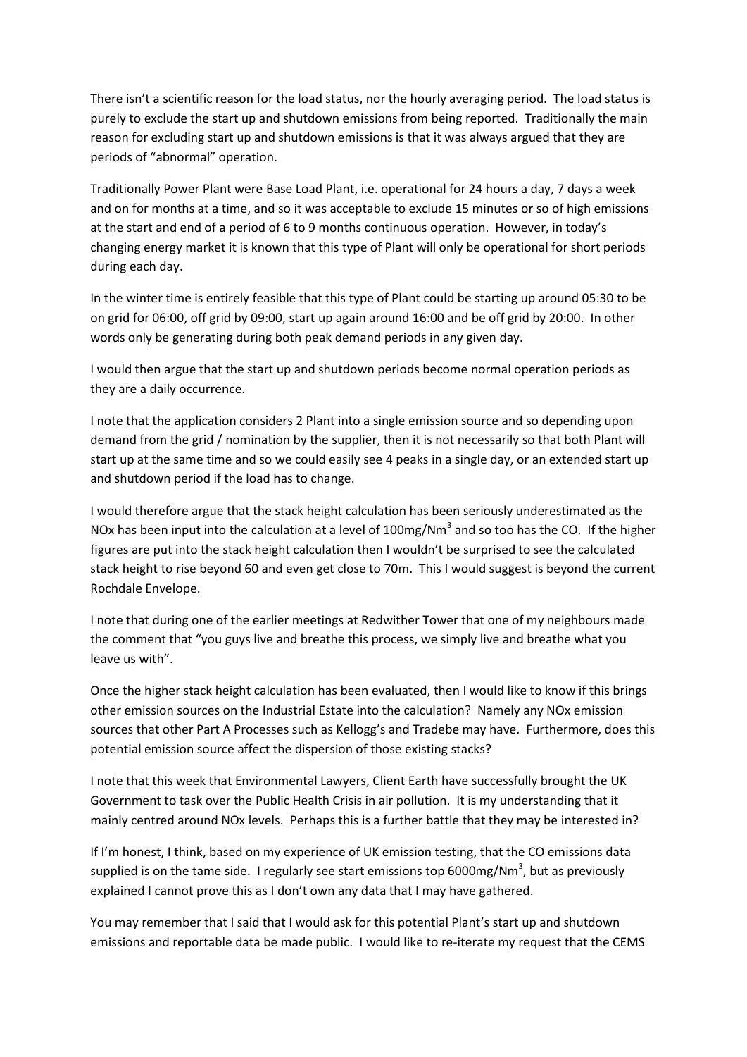There isn't a scientific reason for the load status, nor the hourly averaging period. The load status is purely to exclude the start up and shutdown emissions from being reported. Traditionally the main reason for excluding start up and shutdown emissions is that it was always argued that they are periods of "abnormal" operation.

Traditionally Power Plant were Base Load Plant, i.e. operational for 24 hours a day, 7 days a week and on for months at a time, and so it was acceptable to exclude 15 minutes or so of high emissions at the start and end of a period of 6 to 9 months continuous operation. However, in today's changing energy market it is known that this type of Plant will only be operational for short periods during each day.

In the winter time is entirely feasible that this type of Plant could be starting up around 05:30 to be on grid for 06:00, off grid by 09:00, start up again around 16:00 and be off grid by 20:00. In other words only be generating during both peak demand periods in any given day.

I would then argue that the start up and shutdown periods become normal operation periods as they are a daily occurrence.

I note that the application considers 2 Plant into a single emission source and so depending upon demand from the grid / nomination by the supplier, then it is not necessarily so that both Plant will start up at the same time and so we could easily see 4 peaks in a single day, or an extended start up and shutdown period if the load has to change.

I would therefore argue that the stack height calculation has been seriously underestimated as the NOx has been input into the calculation at a level of 100mg/Nm<sup>3</sup> and so too has the CO. If the higher figures are put into the stack height calculation then I wouldn't be surprised to see the calculated stack height to rise beyond 60 and even get close to 70m. This I would suggest is beyond the current Rochdale Envelope.

I note that during one of the earlier meetings at Redwither Tower that one of my neighbours made the comment that "you guys live and breathe this process, we simply live and breathe what you leave us with".

Once the higher stack height calculation has been evaluated, then I would like to know if this brings other emission sources on the Industrial Estate into the calculation? Namely any NOx emission sources that other Part A Processes such as Kellogg's and Tradebe may have. Furthermore, does this potential emission source affect the dispersion of those existing stacks?

I note that this week that Environmental Lawyers, Client Earth have successfully brought the UK Government to task over the Public Health Crisis in air pollution. It is my understanding that it mainly centred around NOx levels. Perhaps this is a further battle that they may be interested in?

If I'm honest, I think, based on my experience of UK emission testing, that the CO emissions data supplied is on the tame side. I regularly see start emissions top 6000mg/Nm<sup>3</sup>, but as previously explained I cannot prove this as I don't own any data that I may have gathered.

You may remember that I said that I would ask for this potential Plant's start up and shutdown emissions and reportable data be made public. I would like to re-iterate my request that the CEMS